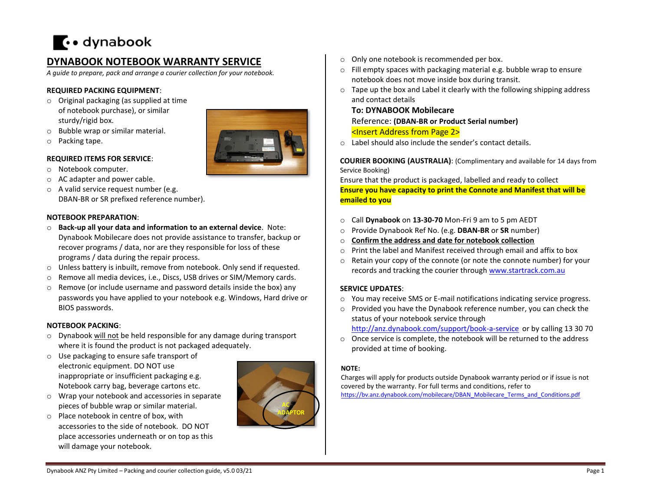# $\cdots$  dynabook

# **DYNABOOK NOTEBOOK WARRANTY SERVICE**

*A guide to prepare, pack and arrange a courier collection for your notebook.*

## **REQUIRED PACKING EQUIPMENT**:

- o Original packaging (as supplied at time of notebook purchase), or similar sturdy/rigid box.
- o Bubble wrap or similar material.
- o Packing tape.

# **REQUIRED ITEMS FOR SERVICE**:

- o Notebook computer.
- o AC adapter and power cable.
- o A valid service request number (e.g. DBAN-BR or SR prefixed reference number).

## **NOTEBOOK PREPARATION**:

- o **Back-up all your data and information to an external device**. Note: Dynabook Mobilecare does not provide assistance to transfer, backup or recover programs / data, nor are they responsible for loss of these programs / data during the repair process.
- o Unless battery is inbuilt, remove from notebook. Only send if requested.
- o Remove all media devices, i.e., Discs, USB drives or SIM/Memory cards.
- $\circ$  Remove (or include username and password details inside the box) any passwords you have applied to your notebook e.g. Windows, Hard drive or BIOS passwords.

#### **NOTEBOOK PACKING**:

- o Dynabook will not be held responsible for any damage during transport where it is found the product is not packaged adequately.
- o Use packaging to ensure safe transport of electronic equipment. DO NOT use inappropriate or insufficient packaging e.g. Notebook carry bag, beverage cartons etc.
- o Wrap your notebook and accessories in separate pieces of bubble wrap or similar material.
- o Place notebook in centre of box, with accessories to the side of notebook. DO NOT place accessories underneath or on top as this will damage your notebook.



- o Only one notebook is recommended per box.
- o Fill empty spaces with packaging material e.g. bubble wrap to ensure notebook does not move inside box during transit.
- o Tape up the box and Label it clearly with the following shipping address and contact details

# **To: DYNABOOK Mobilecare**

Reference: **(DBAN-BR or Product Serial number)**  <Insert Address from Page 2>

o Label should also include the sender's contact details.

**COURIER BOOKING (AUSTRALIA)**: (Complimentary and available for 14 days from Service Booking)

Ensure that the product is packaged, labelled and ready to collect **Ensure you have capacity to print the Connote and Manifest that will be emailed to you**

- o Call **Dynabook** on **13-30-70** Mon-Fri 9 am to 5 pm AEDT
- o Provide Dynabook Ref No. (e.g. **DBAN-BR** or **SR** number)
- o **Confirm the address and date for notebook collection**
- o Print the label and Manifest received through email and affix to box
- o Retain your copy of the connote (or note the connote number) for your records and tracking the courier through [www.startrack.com.au](http://www.startrack.com.au/)

# **SERVICE UPDATES**:

- o You may receive SMS or E-mail notifications indicating service progress.
- o Provided you have the Dynabook reference number, you can check the status of your notebook service through <http://anz.dynabook.com/support/book-a-service> or by calling 13 30 70
- o Once service is complete, the notebook will be returned to the address provided at time of booking.

#### **NOTE:**

Charges will apply for products outside Dynabook warranty period or if issue is not covered by the warranty. For full terms and conditions, refer to [https://bv.anz.dynabook.com/mobilecare/DBAN\\_Mobilecare\\_Terms\\_and\\_Conditions.pdf](https://bv.anz.dynabook.com/mobilecare/DBAN_Mobilecare_Terms_and_Conditions.pdf)